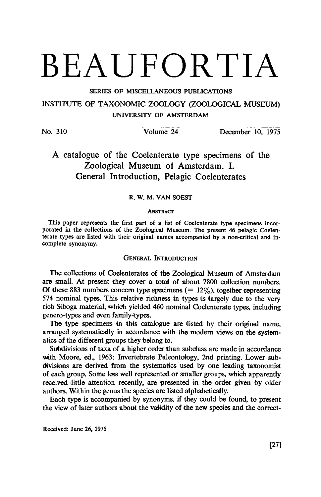# BEAUFORTIA

SERIES OF MISCELLANEOUS PUBLICATIONS INSTITUTE OF TAXONOMIC ZOOLOGY (ZOOLOGICAL MUSEUM) UNIVERSITY OF AMSTERDAM

No. 310 Volume 24 December 10, 1975

# A catalogue of the Coelenterate type specimens of the Zoological Museum of Amsterdam. I. General Introduction, Pelagic Coelenterates

## R.W.M. van Soest

#### **ABSTRACT**

This paper represents the first part of <sup>a</sup> list of Coelenterate type specimens incorporated in the collections of the Zoological Museum. The present <sup>46</sup> pelagic Coelenterate types are listed with their original names accompanied by a non-critical and incomplete synonymy.

# GENERAL INTRODUCTION

The collections of Coelenterates of the Zoological Museum of Amsterdam are small. At present they cover a total of about 7800 collection numbers. Of these 883 numbers concern type specimens  $(= 12\%)$ , together representing <sup>574</sup> nominal types. This relative richness in types is largely due to the very rich Siboga material, which yielded <sup>460</sup> nominal Coelenterate types, including genero-types and even family-types.

The type specimens in this catalogue are listed by their original name, arranged systematically in accordance with the modern views on the systematics of the different groups they belong to.

Subdivisions of taxa of a higher order than subclass are made in accordance with Moore, ed., 1963: Invertebrate Paleontology, 2nd printing. Lower subdivisions are derived from the systematics used by one leading taxonomist of each group. Some less well represented or smaller groups, which apparently received little attention recently, are presented in the order given by older authors. Within the genus the species are listed alphabetically.

Each type is accompanied by synonyms, if they could be found, to present the view of later authors about the validity of the new species and the correct-

Received: June 26, 1975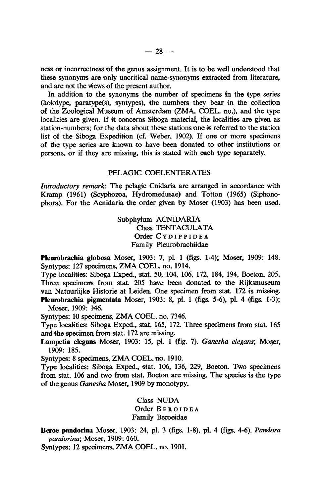ness or incorrectness of the genus assignment. It is to be well understood that these synonyms are only uncritical name-synonyms extracted from literature, and are not the views of the present author.

In addition to the synonyms the number of specimens in the type series (holotype, paratype(s), syntypes), the numbers they bear in the collection of the Zoological Museum of Amsterdam (ZMA. COEL. no.), and the type localities are given. If it concerns Siboga material, the localities are given as station-numbers; for the data about these stations one is referred to the station list of the Siboga Expedition (cf. Weber, 1902). If one or more specimens of the type series are known to have been donated to other institutions or persons, or if they are missing, this is stated with each type separately.

### PELAGIC COELENTERATES

Introductory remark: The pelagic Cnidaria are arranged in accordance with Kramp (1961) (Scyphozoa, Hydromedusae) and Totton (1965) (Siphono phora). For the Acnidaria the order given by Moser (1903) has been used.

> Subphylum ACNIDARIA Class TENTACULATA Order CYDIPPIDEA Family Pleurobrachiidae

Pleurobrachia globosa Moser, 1903: 7, pi. <sup>1</sup> (figs. 1-4); Moser, 1909: 148. Syntypes: <sup>127</sup> specimens, ZMACOEL. no. 1914.

Type localities: Siboga Exped., sstat. 50, 104, 106, 172, 184, 194, Boeton, 205. Three specimens from stat. 205 have been donated to the Rijksmuseum van Natuurlijke Historie at Leiden. One specimen from stat. <sup>172</sup> is missing. Pleurobrachia pigmentata Moser, 1903: 8, pi. <sup>1</sup> (figs. 5-6), pi. 4 (figs. 1-3); Moser, 1909: 146.

Syntypes: <sup>10</sup> specimens, ZMA COEL. no. 7346.

Type localities: Siboga Exped., stat. 165, 172. Three specimens from stat. 165 and the specimen from stat. 172 are missing.

Lampetia elegans Moser, 1903: 15, pi. <sup>1</sup> (fig. 7). Ganesha elegans; Moser, 1909: 185.

Syntypes: <sup>8</sup> specimens, ZMA COEL. no. 1910.

Type localities: Siboga Exped., stat. 106, 136, 229, Boeton. Two specimens from stat. <sup>106</sup> and two from stat. Boeton are missing. The species is the type of the genus Ganesha Moser, <sup>1909</sup> by monotypy.

> Class NUDA Order BEROIDEA Family Beroeidae

Beroe pandorina Moser, 1903: 24, pi. <sup>3</sup> (figs. 1-8), pi. 4 (figs. 4-6). Pandora pandorina; Moser, 1909: 160.

Syntypes: <sup>12</sup> specimens, ZMA COEL. no. 1901.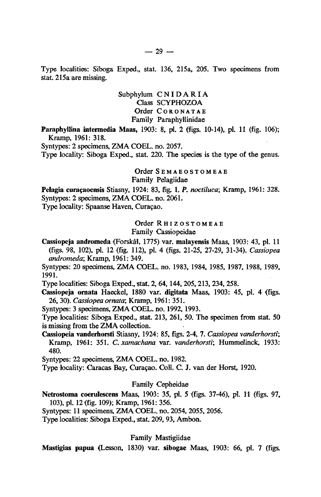Type localities: Siboga Exped., stat. 136, 215a, 205. Two specimens from stat. 215a are missing.

> Subphylum CNIDARIA Class SCYPHOZOA Order CORONATAE Family Paraphyllinidae

Paraphyllina intermedia Maas, 1903: 8, pi. <sup>2</sup> (figs. 10-14), pi. <sup>11</sup> (fig. 106); Kramp, 1961: 318.

Syntypes: 2 specimens, ZMA COEL. no. 2057.

Type locality: Siboga Exped., stat. 220. The species is the type of the genus,

Order SEMAEOSTOMEAE Family Pelagiidae

Pelagia curaçaoensis Stiasny, 1924: 83, fig. 1. P. noctiluca; Kramp, 1961: 328. Syntypes: <sup>2</sup> specimens, ZMACOEL. no. 2061.

Type locality: Spaanse Haven, Curaçao.

Order RHIZOSTOMEAE

Family Cassiopeidae

Cassiopeja andromeda (Forskal, 1775) var. malayensis Maas, 1903: 43, pi. <sup>11</sup> (figs. 98, 102), pi. 12 (fig. 112), pi. 4 (figs. 21-25, 27-29, 31-34). Cassiopea andromeda; Kramp, 1961: 349.

Syntypes: <sup>20</sup> specimens, ZMA COEL. no. 1983, 1984, 1985, 1987, 1988, 1989, 1991.

Type localities: Siboga Exped., stat. 2, 64, 144, 205, 213, 234, 258.

Cassiopeja ornata Haeckel, 1880 var. digitata Maas, 1903: 45, pi. 4 (figs. 26, 30). Cassiopea ornata; Kramp, 1961: 351.

Syntypes: <sup>3</sup> specimens, ZMACOEL. no. 1992, 1993.

Type localities: Siboga Exped., stat. 213, 261, 50. The specimen from stat. <sup>50</sup> is missing from the ZMA collection.

Cassiopeia vanderhorsti Stiasny, 1924: 85, figs. 2-4, 7. Cassiopea vanderhorsti; Kramp, 1961: 351. C. xamachana var. vanderhorsti; Hummelinck, 1933: 480.

Syntypes: <sup>22</sup> specimens, ZMA COEL. no. 1982.

Type locality: Caracas Bay, Curaçao. Coll. C. J. van der Horst, 1920.

## Family Cepheidae

Netrostoma coerulescens Maas, 1903: 35, pi. 5 (figs. 37-46), pi. <sup>11</sup> (figs. 97, 103), pi. 12 (fig. 109); Kramp, 1961: 356.

Syntypes: <sup>11</sup> specimens, ZMA COEL. no. 2054, 2055, 2056.

Type localities: Siboga Exped., stat. 209, 93, Ambon.

Family Mastigiidae

Mastigias papua (Lesson, 1830) var. sibogae Maas, 1903: 66, pi. 7 (figs.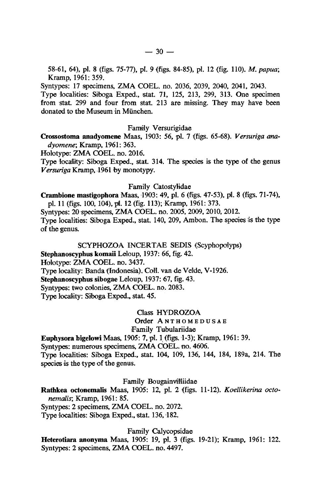58-61, 64), pi. <sup>8</sup> (figs. 75-77), pi. <sup>9</sup> (figs. 84-85), pi. 12 (fig. 110). M. papua; Kramp, 1961: 359.

Syntypes: <sup>17</sup> specimens, ZMA COEL. no. 2036, 2039, 2040, 2041, 2043.

Type localities: Siboga Exped., stat. 71, 125, 213, 299, 313. One specimen from stat. <sup>299</sup> and four from stat. <sup>213</sup> are missing. They may have been donated to the Museum in München.

### Family Versurigidae

Crossostoma anadyomene Maas, 1903: 56, pi. 7 (figs. 65-68). Versuriga anadyomene; Kramp, 1961: 363.

Holotype: ZMA COEL. no. 2016.

Type locality: Siboga Exped., stat. 314. The species is the type of the genus Versuriga Kramp, 1961 by monotypy.

Family Catostylidae

# Crambione mastigophora Maas, 1903: 49, pi. <sup>6</sup> (figs. 47-53), pi. <sup>8</sup> (figs. 71-74),

pi. 11 (figs. 100, 104), pi. 12 (fig. 113); Kramp, 1961: 373. Syntypes: <sup>20</sup> specimens, ZMA COEL. no. 2005, 2009, 2010, 2012. Type localities: Siboga Exped., stat. 140, 209, Ambon. The species is the type of the genus.

SCYPHOZOA INCERTAE SEDIS (Scyphopolyps) Stephanoscyphus komaii Leloup, 1937: 66, fig. 42.

Holotype: ZMA COEL. no. 3437.

Type locality: Banda (Indonesia). Coll. van de Velde, V-1926.

Stephanoscyphus sibogae Leloup, 1937: 67, fig. 43.

Syntypes: two colonies, ZMA COEL. no. 2083.

Type locality: Siboga Exped., stat. 45.

Class HYDROZOA

Order ANTHOMEDUSAE

Family Tubulariidae

Euphysora bigelowi Maas, 1905: 7, pi. <sup>1</sup> (figs. 1-3); Kramp, 1961: 39.

Syntypes: numerous specimens, ZMA COEL. no. 4606.

Type localities: Siboga Exped., stat. 104, 109, 136, 144, 184, 189a, 214. The species is the type of the genus.

Family Bougainvilliidae

Rathkea octonemalis Maas, 1905: 12, pi. 2 (figs. 11-12). Koellikerina octonemalis; Kramp, 1961: 85.

Syntypes: <sup>2</sup> specimens, ZMA COEL. no. 2072.

Type localities: Siboga Exped., stat. 136, 182.

Family Calycopsidae

Heterotiara anonyma Maas, 1905: 19, pi. <sup>3</sup> (figs. 19-21); Kramp, 1961: 122. Syntypes: 2 specimens, ZMA COEL. no. 4497.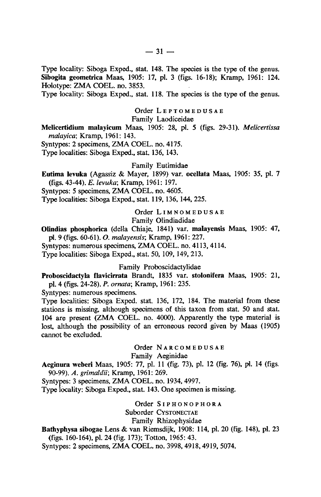Type locality: Siboga Exped., stat. 148. The species is the type of the genus. Sibogita geometrica Maas, 1905: 17, pi. 3 (figs. 16-18); Kramp, 1961: 124. Holotype: ZMA COEL. no. 3853.

Type locality: Siboga Exped., stat. 118. The species is the type of the genus.

Order LEPTOMEDUSAE

Family Laodiceidae

Melicertidium malayicum Maas, 1905: 28, pi. <sup>5</sup> (figs. 29-31). Melicertissa malayica; Kramp, 1961: 143.

Syntypes: <sup>2</sup> specimens, ZMA COEL. no. 4175

Type localities: Siboga Exped., stat. 136, 143.

#### Family Eutimidae

Eutima levuka (Agassiz & Mayer, 1899) var. ocellata Maas, 1905: 35, pi. <sup>7</sup> (figs. 43-44). E. levuka; Kramp, 1961: 197.

Syntypes: <sup>5</sup> specimens, ZMA COEL. no. 4605.

Type localities: Siboga Exped., stat. 119, 136, 144, 225.

Order LIMNOMEDUSAE

Family Olindiadidae

Olindias phosphorica (della Chiaje, 1841) var. malayensis Maas, 1905: 47, pi. 9 (figs. 60-61). O. malayensis; Kramp, 1961: 227.

Syntypes: numerous specimens, ZMA COEL. no. 4113, 4114.

Type localities: Siboga Exped., stat. 50, 109, 149, 213.

Family Proboscidactylidae

Proboscidactyla flavicirrata Brandt, 1835 var. stolonifera Maas, 1905: 21, pi. 4 (figs. 24-28). P. ornata; Kramp, 1961: 235.

Syntypes: numerous specimens.

Type localities: Siboga Exped. stat. 136, 172, 184. The material from these stations is missing, although specimens of this taxon from stat. 50 and stat. <sup>104</sup> are present (ZMA COEL. no. 4000). Apparently the type material is lost, although the possibility of an erroneous record given by Maas (1905) cannot be excluded.

Order NARCOMEDUSAE

Family Aeginidae

Aeginura weberi Maas, 1905: 77, pi. <sup>11</sup> (fig. 73), pi. <sup>12</sup> (fig. 76), pi. <sup>14</sup> (figs. 90-99). A. grimaldii; Kramp, 1961: 269.

Syntypes: <sup>3</sup> specimens, ZMA COEL. no. 1934, 4997.

Type locality: Siboga Exped., stat. 143. One specimen is missing.

Order SIPHONOPHORA Suborder CYSTONECTAE Family Rhizophysidae

# Bathyphysa sibogae Lens & van Riemsdijk, 1908: 114, pi. <sup>20</sup> (fig. 148), pi. <sup>23</sup> (figs. 160-164), pi. 24 (fig. 173); Totton, 1965: 43.

Syntypes: 2 specimens, ZMA COEL. no. 3998, 4918, 4919, 5074.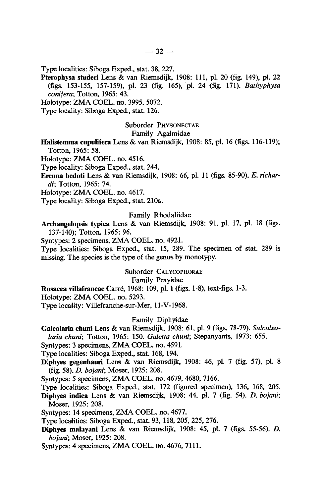Type localities: Siboga Exped., stat. 38, 227.

Pterophysa studeri Lens & van Riemsdijk, 1908: 111, pi. 20 (fig. 149), pi. 22 (figs. 153-155, 157-159), pi. 23 (fig. 165), pi. 24 (fig. 171). Bathyphysa conifera; Totton, 1965: 43.

Holotype: ZMA COEL. no. 3995, 5072.

Type locality: Siboga Exped., stat. 126.

#### Suborder PHYSONECTAE

#### Family Agalmidae

Halistemma cupulifera Lens & van Riemsdijk, 1908: 85, pi. <sup>16</sup> (figs. 116-119); Totton, 1965: 58.

Holotype: ZMA COEL. no. 4516.

Type locality: Siboga Exped., stat. 244

Erenna bedoti Lens & van Riemsdijk, 1908: 66, pi. <sup>11</sup> (figs. 85-90). E. richardi; Totton, 1965: 74.

Holotype: ZMA COEL. no. 4617.

Type locality: Siboga Exped., stat. 210a.

#### Family Rhodaliidae

Archangelopsis typica Lens & van Riemsdijk, 1908: 91, pi. 17, pi. <sup>18</sup> (figs. 137-140); Totton, 1965: 96.

Syntypes: <sup>2</sup> specimens, ZMACOEL. no. 4921.

Type localities: Siboga Exped., stat. 15, 289. The specimen of stat. <sup>289</sup> is missing. The species is the type of the genus by monotypy.

Suborder CALYCOPHORAE

Family Prayidae

Rosacea villafrancaeCarre, 1968: 109, pi. <sup>1</sup> (figs. 1-8), text-figs. 1-3.

Holotype: ZMA COEL. no. 5293.

Type locality: Villefranche-sur-Mer, ll-V-1968.

## Family Diphyidae

Galeolaria chuni Lens& van Riemsdijk, 1908: 61, pi. <sup>9</sup> (figs. 78-79). Sulculeo-

laria chuni; Totton, 1965: 150. Galetta chuni; Stepanyants, 1973: 655.

Syntypes: 3 specimens, ZMA COEL. no. 4591.

Type localities: Siboga Exped., stat. 168, 194.

Diphyes gegenbauri Lens & van Riemsdijk, 1908: 46, pi. <sup>7</sup> (fig. 57), pi. <sup>8</sup> (fig. 58). D. bojani; Moser, 1925: 208.

Syntypes: <sup>5</sup> specimens, ZMA COEL. no. 4679, 4680, 7166.

Type localities: Siboga Exped., stat. 172 (figured speoimen), 136, 168, 205.

Diphyes indica Lens & van Riemsdijk, 1908: 44, pi. <sup>7</sup> (fig. 54). D. bojani; Moser, 1925: 208.

Syntypes: <sup>14</sup> specimens, ZMA COEL. no. 4677.

Type localities: Siboga Exped., stat. 93, 118, 205, 225, 276.

Diphyes malayani Lens & van Riemsdijk, 1908: 45, pi. <sup>7</sup> (figs. 55-56). D. bojani; Moser, 1925: 208.

Syntypes: 4 specimens, ZMA COEL. no. 4676, 7111.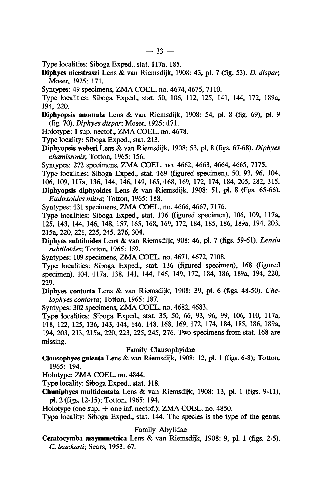Type localities: Siboga Exped., stat. 117a, 185.

Diphyes nierstraszi Lens & van Riemsdijk, 1908: 43, pi. <sup>7</sup> (fig. 53). D. dispar; Moser, 1925: 171.

Syntypes: <sup>49</sup> specimens, ZMA COEL. no. 4674, 4675, 7110.

Type localities: Siboga Exped., stat. 50, 106, 112, 125, 141, 144, 172, 189a, 194, 220.

Diphyopsis anomala Lens & van Riemsdijk, 1908: 54, pi. <sup>8</sup> (fig. 69), pi. <sup>9</sup> (fig. 70). Diphyes dispar; Moser, 1925: 171.

Holotype: <sup>1</sup> sup. neotof., ZMA COEL. no. 4678.

Type locality: Siboga Exped., stat. 213.

Diphyopsis weberi Lens & van Riemsdijk, 1908: 53, pi. <sup>8</sup> (figs. 67-68). Diphyes chamissonis; Totton, 1965: 156.

Syntypes: <sup>272</sup> specimens, ZMA COEL. no. 4662, 4663, 4664, 4665, 7175.

Type localities: Siboga Exped., stat. 169 (figured specimen), 50, 93, 96, 104,

106, 109, 117a, 136, 144, 146, 149, 165, 168, 169, 172, 174, 184, 205, 282, 315.

Diphyopsis diphyoides Lens & van Riemsdijk, 1908: 51, pi. <sup>8</sup> (figs. 65-66). Eudoxoides mitra; Totton, 1965: 188.

Syntypes: <sup>131</sup> specimens, ZMA COEL. no. 4666, 4667, 7176.

Type localities: Siboga Exped., stat. 136 (figured specimen), 106, 109, 117a, 125, 143, 144, 146, 148, 157, 165, 168, 169, 172, 184, 185, 186, 189a, 194, 203, 215a, 220, 221, 225, 245, 276, 304. pe localities: Siboga Exped., stat. 136 (figured specimen), 106, 109, 117a,<br>5, 143, 144, 146, 148, 157, 165, 168, 169, 172, 184, 185, 186, 189a, 194, 203,<br>5a, 220, 221, 225, 245, 276, 304.<br>phyes subtiloides Lens & van Riem

Diphyes subtiloides Lens & van Riemsdijk, 908: 46, pi. 7 (figs. 59-61). Lensia

subtiloides; Totton, 1965: 159.<br>Syntypes: 109 specimens, ZMA COEL. no. 4671, 4672, 7108.

Type localities: Siboga Exped., stat. 136 (figured specimen), 168 (figured specimen), 104, 117a, 138, 141, 144, 146, 149, 172, 184, 186, 189a, 194, 220, 229.

Diphyes contorta Lens & van Riemsdijk, 1908: 39, pi. <sup>6</sup> (figs. 48-50). Chelophyes contorta; Totton, 1965: 187.

Syntypes: <sup>302</sup> specimens, ZMA COEL. no. 4682, 4683.

Type localities: Siboga Exped., stat. 35, 50, 66, 93, 96, 99, 106, 110, 117a, 118, 122, 125, 136, 143, 144, 146, 148, 168, 169, 172, 174, 184, 185, 186, 189a, 194, 203, 213, 215a, 220, 223, 225, 245, 276. Two specimens from stat. <sup>168</sup> are missing.

# Family Clausophyidae

Clausophyes galeata Lens & van Riemsdijk, 1908: 12, pi. <sup>1</sup> (figs. 6-8); Totton, 1965: 194.

Holotype: ZMA COEL. no. 4844.

Type locality: Siboga Exped., stat. 118.

Chuniphyes multidentata Lens & van Riemsdijk, 1908: 13, pi. <sup>1</sup> (figs. 9-11), pi. 2 (figs. 12-15); Totton, 1965: 194.

Holotype (one sup.  $+$  one inf. nectof.): ZMA COEL. no. 4850.

Type locality: Siboga Exped., stat. 144. The species is the type of the genus.

Family Abylidae

Ceratocymba assymmetrica Lens & van Riemsdijk, 1908: 9, pi. <sup>1</sup> (figs. 2-5). C. leuckarti; Sears, 1953: 67.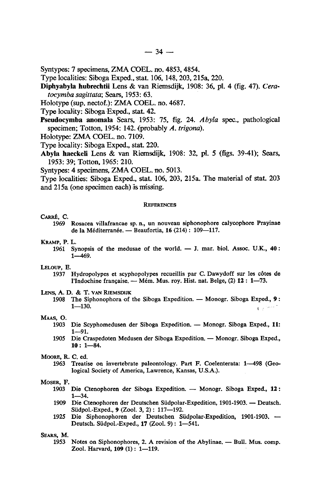- Syntypes: <sup>7</sup> specimens, ZMA COEL. no. 4853, 4854.
- Type localities: Siboga Exped., stat. 106, 148, 203, 215a, 220.
- Diphyabyla hubrechtii Lens & van Riemsdijk, 1908: 36, pi. 4 (fig. 47). Ceratocymba sagittata; Sears, 1953: 63.
- Holotype (sup. nectof.): ZMA COEL. no. 4687

Type locality: Siboga Exped., stat. 42.

- Pseudocymba anomala Sears, 1953: 75, fig. 24. Abyla spec., pathological specimen; Totton, 1954: 142. (probably A. trigona).
- Holotype: ZMA COEL. no. 7109.
- Type locality: Siboga Exped., stat. 220.
- Abyla haeckeli Lens & van Riemsdijk, 1908: 32, pi. 5 {figs. 39-41); Sears, 1953: 39; Totton, 1965: 210.
- Syntypes: 4 specimens, ZMA COEL. no. 5013

Type localities: Siboga Exped., stat. 106, 203, 215a. The material of stat. <sup>203</sup> and 215a (one specimen each) is missing.

#### **REFERENCES**

#### CARRE, C.

- <sup>1969</sup> Rosacea villafrancae sp. n., un nouveau siphonophore calycophore Prayinae de la Mediterranee. — Beaufortia, 16 (214) : 109—117.
- KRAMP, P. L.
	- 1961 Synopsis of the medusae of the world.  $-$  J. mar. biol. Assoc. U.K., 40 1—469.

#### LELOUP, E.

- <sup>1937</sup> Hydropolypes et scyphopolypes recueillis par C. Dawydoff sur les cotes de l'Indochine française. — Mém. Mus. roy. Hist. nat. Belge, (2) 12 : 1—73.
- LENS, A. D. & T. VAN RIEMSDIJK
	- 1908 The Siphonophora of the Siboga Expedition. Monogr. Siboga Exped., 9  $C_2^{(1)}$ 1—130.

#### MAAS, O.

- <sup>1903</sup> Die Scyphomedusen der Siboga Expedition. Monogr. Siboga Exped., 11: 1—91.
- <sup>1905</sup> Die Craspedoten Medusen der SibogaExpedition. Monogr. Siboga Exped., 10: 1—84.

#### MOORE, R. C. ed.

<sup>1963</sup> Treatise on invertebrate paleontology. Part F. Coelenterata: 1—498 (Geological Society of America, Lawrence, Kansas, U.S.A.).

#### MOSER, F.

- <sup>1903</sup> Die Ctenophoren der Siboga Expedition. Monogr. Siboga Exped., <sup>12</sup> : 1—34.
- <sup>1909</sup> Die Ctenophoren der Deutschen Siidpolar-Expedition, 1901-1903. Deutsch. Sudpol.-Exped., 9 (Zool. 3, 2) : 117—192.
- <sup>1925</sup> Die Siphonophoren der Deutschen Siidpolar-Expedition, 1901-1903. Deutsch. Siidpol.-Exped., 17 (Zool. 9) : 1—541.

SEARS, M.

1953 Notes on Siphonophores, 2. A revision of the Abylinae. — Bull. Mus. comp. Zool. Harvard, <sup>109</sup> (1): 1—119.